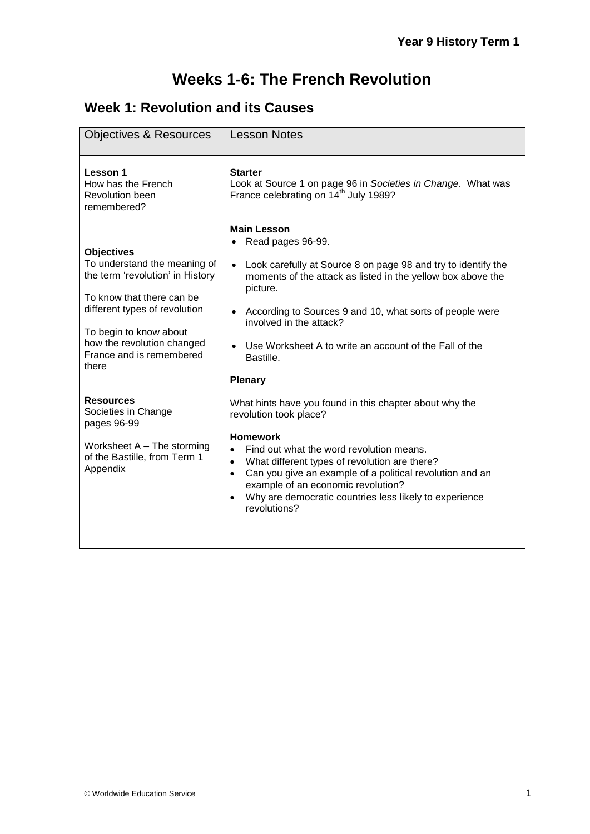# **Weeks 1-6: The French Revolution**

## **Week 1: Revolution and its Causes**

| <b>Objectives &amp; Resources</b>                                                                                                                                                                                                                                                                                                                                                    | <b>Lesson Notes</b>                                                                                                                                                                                                                                                                                                                                                                                                                                                                                                                                                                                                                                                                                                                                                                                                                             |
|--------------------------------------------------------------------------------------------------------------------------------------------------------------------------------------------------------------------------------------------------------------------------------------------------------------------------------------------------------------------------------------|-------------------------------------------------------------------------------------------------------------------------------------------------------------------------------------------------------------------------------------------------------------------------------------------------------------------------------------------------------------------------------------------------------------------------------------------------------------------------------------------------------------------------------------------------------------------------------------------------------------------------------------------------------------------------------------------------------------------------------------------------------------------------------------------------------------------------------------------------|
| Lesson 1<br>How has the French<br>Revolution been<br>remembered?                                                                                                                                                                                                                                                                                                                     | <b>Starter</b><br>Look at Source 1 on page 96 in Societies in Change. What was<br>France celebrating on 14 <sup>th</sup> July 1989?                                                                                                                                                                                                                                                                                                                                                                                                                                                                                                                                                                                                                                                                                                             |
| <b>Objectives</b><br>To understand the meaning of<br>the term 'revolution' in History<br>To know that there can be<br>different types of revolution<br>To begin to know about<br>how the revolution changed<br>France and is remembered<br>there<br><b>Resources</b><br>Societies in Change<br>pages 96-99<br>Worksheet A - The storming<br>of the Bastille, from Term 1<br>Appendix | <b>Main Lesson</b><br>Read pages 96-99.<br>Look carefully at Source 8 on page 98 and try to identify the<br>$\bullet$<br>moments of the attack as listed in the yellow box above the<br>picture.<br>According to Sources 9 and 10, what sorts of people were<br>$\bullet$<br>involved in the attack?<br>Use Worksheet A to write an account of the Fall of the<br>$\bullet$<br>Bastille.<br><b>Plenary</b><br>What hints have you found in this chapter about why the<br>revolution took place?<br><b>Homework</b><br>Find out what the word revolution means.<br>$\bullet$<br>What different types of revolution are there?<br>$\bullet$<br>Can you give an example of a political revolution and an<br>$\bullet$<br>example of an economic revolution?<br>Why are democratic countries less likely to experience<br>$\bullet$<br>revolutions? |
|                                                                                                                                                                                                                                                                                                                                                                                      |                                                                                                                                                                                                                                                                                                                                                                                                                                                                                                                                                                                                                                                                                                                                                                                                                                                 |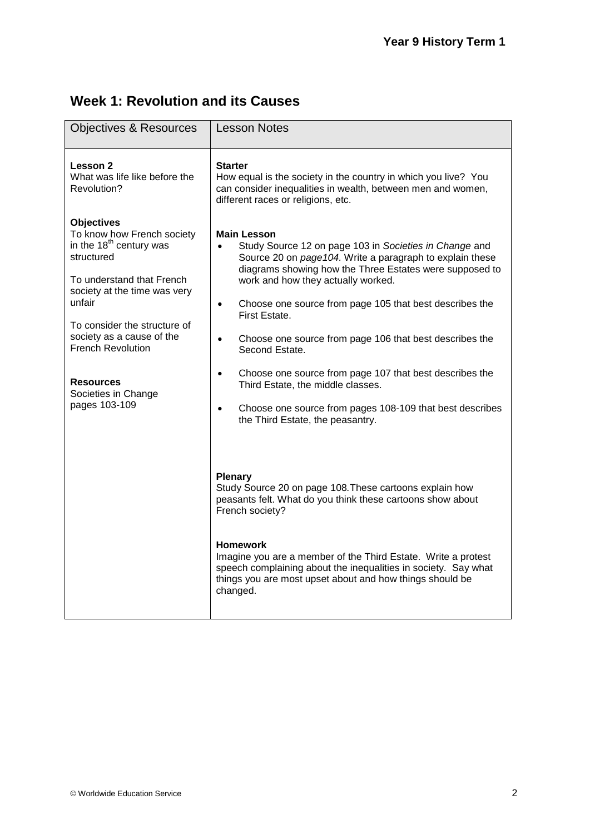## **Week 1: Revolution and its Causes**

| <b>Objectives &amp; Resources</b>                                                                                                                                           | <b>Lesson Notes</b>                                                                                                                                                                                                                                                                                                                 |
|-----------------------------------------------------------------------------------------------------------------------------------------------------------------------------|-------------------------------------------------------------------------------------------------------------------------------------------------------------------------------------------------------------------------------------------------------------------------------------------------------------------------------------|
| Lesson 2<br>What was life like before the<br>Revolution?                                                                                                                    | <b>Starter</b><br>How equal is the society in the country in which you live? You<br>can consider inequalities in wealth, between men and women,<br>different races or religions, etc.                                                                                                                                               |
| <b>Objectives</b><br>To know how French society<br>in the 18 <sup>th</sup> century was<br>structured<br>To understand that French<br>society at the time was very<br>unfair | <b>Main Lesson</b><br>Study Source 12 on page 103 in Societies in Change and<br>Source 20 on page 104. Write a paragraph to explain these<br>diagrams showing how the Three Estates were supposed to<br>work and how they actually worked.<br>Choose one source from page 105 that best describes the<br>$\bullet$<br>First Estate. |
| To consider the structure of<br>society as a cause of the<br><b>French Revolution</b>                                                                                       | Choose one source from page 106 that best describes the<br>$\bullet$<br>Second Estate.                                                                                                                                                                                                                                              |
| <b>Resources</b><br>Societies in Change<br>pages 103-109                                                                                                                    | Choose one source from page 107 that best describes the<br>$\bullet$<br>Third Estate, the middle classes.<br>Choose one source from pages 108-109 that best describes<br>$\bullet$<br>the Third Estate, the peasantry.                                                                                                              |
|                                                                                                                                                                             | <b>Plenary</b><br>Study Source 20 on page 108. These cartoons explain how<br>peasants felt. What do you think these cartoons show about<br>French society?                                                                                                                                                                          |
|                                                                                                                                                                             | <b>Homework</b><br>Imagine you are a member of the Third Estate. Write a protest<br>speech complaining about the inequalities in society. Say what<br>things you are most upset about and how things should be<br>changed.                                                                                                          |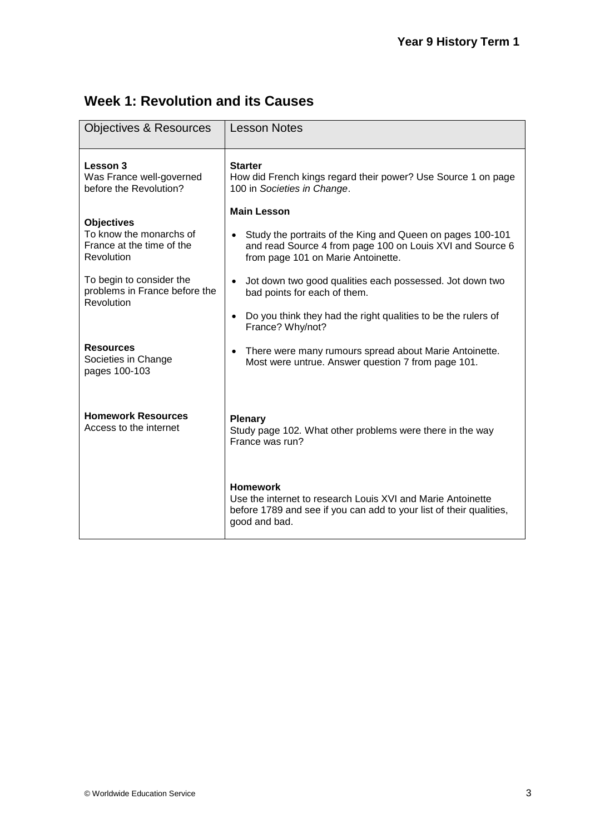## **Week 1: Revolution and its Causes**

| <b>Objectives &amp; Resources</b>                                                       | <b>Lesson Notes</b>                                                                                                                                                        |
|-----------------------------------------------------------------------------------------|----------------------------------------------------------------------------------------------------------------------------------------------------------------------------|
| Lesson 3<br>Was France well-governed<br>before the Revolution?                          | <b>Starter</b><br>How did French kings regard their power? Use Source 1 on page<br>100 in Societies in Change.                                                             |
|                                                                                         | <b>Main Lesson</b>                                                                                                                                                         |
| <b>Objectives</b><br>To know the monarchs of<br>France at the time of the<br>Revolution | Study the portraits of the King and Queen on pages 100-101<br>$\bullet$<br>and read Source 4 from page 100 on Louis XVI and Source 6<br>from page 101 on Marie Antoinette. |
| To begin to consider the<br>problems in France before the<br>Revolution                 | Jot down two good qualities each possessed. Jot down two<br>$\bullet$<br>bad points for each of them.                                                                      |
|                                                                                         | Do you think they had the right qualities to be the rulers of<br>France? Why/not?                                                                                          |
| <b>Resources</b><br>Societies in Change<br>pages 100-103                                | There were many rumours spread about Marie Antoinette.<br>Most were untrue. Answer question 7 from page 101.                                                               |
| <b>Homework Resources</b><br>Access to the internet                                     | <b>Plenary</b><br>Study page 102. What other problems were there in the way<br>France was run?                                                                             |
|                                                                                         | <b>Homework</b><br>Use the internet to research Louis XVI and Marie Antoinette<br>before 1789 and see if you can add to your list of their qualities,<br>good and bad.     |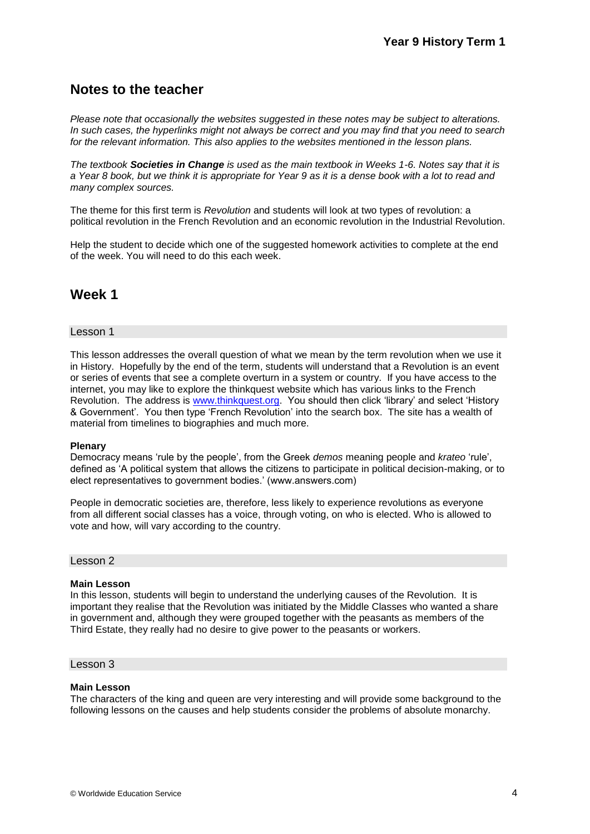### **Notes to the teacher**

*Please note that occasionally the websites suggested in these notes may be subject to alterations. In such cases, the hyperlinks might not always be correct and you may find that you need to search for the relevant information. This also applies to the websites mentioned in the lesson plans.*

*The textbook Societies in Change is used as the main textbook in Weeks 1-6. Notes say that it is a Year 8 book, but we think it is appropriate for Year 9 as it is a dense book with a lot to read and many complex sources.*

The theme for this first term is *Revolution* and students will look at two types of revolution: a political revolution in the French Revolution and an economic revolution in the Industrial Revolution.

Help the student to decide which one of the suggested homework activities to complete at the end of the week. You will need to do this each week.

## **Week 1**

#### Lesson 1

This lesson addresses the overall question of what we mean by the term revolution when we use it in History. Hopefully by the end of the term, students will understand that a Revolution is an event or series of events that see a complete overturn in a system or country. If you have access to the internet, you may like to explore the thinkquest website which has various links to the French Revolution. The address is [www.thinkquest.org.](http://www.thinkquest.org/) You should then click 'library' and select 'History & Government'. You then type 'French Revolution' into the search box. The site has a wealth of material from timelines to biographies and much more.

#### **Plenary**

Democracy means 'rule by the people', from the Greek *demos* meaning people and *krateo* 'rule', defined as 'A political system that allows the citizens to participate in political decision-making, or to elect representatives to government bodies.' (www.answers.com)

People in democratic societies are, therefore, less likely to experience revolutions as everyone from all different social classes has a voice, through voting, on who is elected. Who is allowed to vote and how, will vary according to the country.

Lesson 2

#### **Main Lesson**

In this lesson, students will begin to understand the underlying causes of the Revolution. It is important they realise that the Revolution was initiated by the Middle Classes who wanted a share in government and, although they were grouped together with the peasants as members of the Third Estate, they really had no desire to give power to the peasants or workers.

#### Lesson 3

#### **Main Lesson**

The characters of the king and queen are very interesting and will provide some background to the following lessons on the causes and help students consider the problems of absolute monarchy.